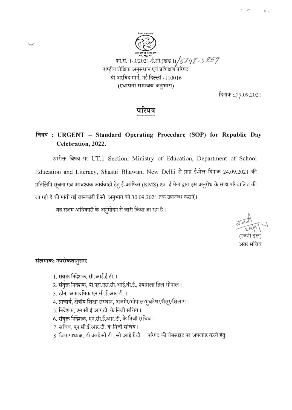

दिनांक : 29.09.2021

# परिपत्र

# विषय: URGENT - Standard Operating Procedure (SOP) for Republic Day Celebration, 2022.

उपरोक्त विषय पर UT.1 Section, Ministry of Education, Department of School Education and Literacy, Shastri Bhawan, New Delhi से प्राप्त ई-मेल दिनांक 24.09.2021 की प्रतिलिपि सूचना एवं आवश्यक कार्यवाही हेतु ई-ऑफिस (KMS) एवं ई-मेल द्वारा इस अनुरोध के साथ परिचालित की जा रही है की मांगी गई जानकारी ई.सी. अनुभाग को 30.09.2021 तक उपलब्ध कराएँ।

यह सक्षम अधिकारी के अनुमोदन से जारी किया जा रहा है।

अवर सचिव

## संलग्नक: उपरोकतानुसार

- 1. संयुक्त निदेशक, सी.आई.ई.टी. ।
- 2. संयुक्त निदेशक, पी.एस.एस.सी.आई.वी.ई., श्यामला हिल भोपाल।
- 3. डीन, अकादमिक एन.सी.ई.आर.टी.।
- 4. प्राचार्य, क्षेत्रीय शिक्षा संस्थान, अजमेर/भोपाल/भुवनेश्वर/मैसूर/शिलांग।
- 5. निदेशक, एन.सी.ई.आर.टी. के निजी सचिव।
- 6. संयुक्त निदेशक, एन.सी.ई.आर.टी. के निजी सचिव।
- 7. सचिव, एन.सी.ई.आर.टी. के निजी सचिव।
- 8. विभागाध्यक्ष, डी.आई.सी.टी., सी.आई.ई.टी. परिषद की वेबसाइट पर अपलोड करने हेतु।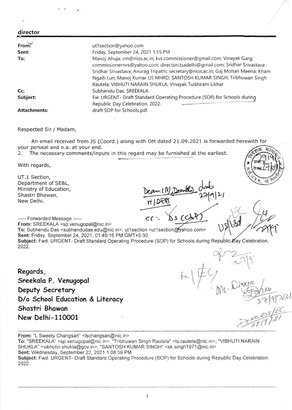| director            |                                                                                                                                                                                                                                                                                                                                                                               |
|---------------------|-------------------------------------------------------------------------------------------------------------------------------------------------------------------------------------------------------------------------------------------------------------------------------------------------------------------------------------------------------------------------------|
| From:               | ut1section@yahoo.com                                                                                                                                                                                                                                                                                                                                                          |
| Sent:               | Friday, September 24, 2021 1:55 PM                                                                                                                                                                                                                                                                                                                                            |
| To:                 | Manoj Ahuja; cm@nios.ac.in; kvs.commissioner@gmail.com; Vinayak Garq;<br>commissionernvs@yahoo.com; directorctsadelhi@gmail.com; Sridhar Srivastava ;<br>Sridhar Srivastava; Anurag Tripathi; secretary@nios.ac.in; Gaj Mohan Meena; Kham<br>Ngaih Lun; Manoj Kumar US MHRD; SANTOSH KUMAR SINGH; Tribhuwan Singh<br>Rautela; VIBHUTI NARAIN SHUKLA; Vinayak Tulshiram Likhar |
| Cc                  | Subhendu Das; SREEKALA                                                                                                                                                                                                                                                                                                                                                        |
| Subject:            | Fw: URGENT- Draft Standard Operating Procedure (SOP) for Schools during<br><b>COME OF TOGETHIC CONTRACTORS AND THE SALE CONTRACT OF A SALE CONTRACTOR AND STATE OF A STATE OF THE CONTRACTOR OF THE CONTRACTOR OF THE CONTRACTOR OF THE CONTRACTOR OF THE CONTRACTOR OF THE CONTRACTOR OF THE CONTRACTOR OF</b><br>Republic Day Celebration, 2022.                            |
| <b>Attachments:</b> | draft SOP for Schools.pdf                                                                                                                                                                                                                                                                                                                                                     |

Respected Sir / Madam,

An email received from JS (Coord.) along with oM dated 27.09.2O2t is forwarded herewith for your perusal and n.a. at your end. के7

2. The necessary comments/inputs in this regard may be furnished at the earliest.

With regards,

UT.1 Section, Department of SE&L, <sup>M</sup>inistry of Education, Shastri Bhawan, New Delhi.

n Deaml  $\overline{\mathcal{D}\mathcal{C}}$ dub 2719/21 I

 $(N \, \mathcal{C})$ 

 $F(\frac{4}{7})$ 

 $\psi$ 

 $\mathcal{C}^{\mathcal{V}}$ r

 $\frac{1}{2}$ 

\*

u  $\frac{1}{15}$ 

 $\mu$ 

55<br>1 I /

9/2021

 $NU, R$ t<br>8

 $cc$  :  $\Delta s$  C

,\

----- Forwarded Message -----From: SREEKALA <sp.venugopal@nic.in>

To: Subhendu Das <subhendudas.edu@nic.in>; ut1section <ut1section@vahoo.com> Sent: Friday. September 24, 2021, 01:49:16 PM GMT+5:30

Subject: Fwd: URGENT- Draft Standard Operating Procedure (SOP) for Schools during Republic Day Celebration, 2022

Regords, Sreekolo P. Venugopol Deputy Secretary D/o School Education & Literacy Shastri Bhawan New Delhi-11@O1

From: "L Sweety Changsan" <lschangsan@nic.in> To: "SREEKALA" <sp.venugopal@nic. in>, "Tribhuwan Singh Rautela" <ts. rautela@nic. in>, "VlBHUTl NARAIN SHUKLA" <vibhutin.shukla@gov.in>, "SANTOSH KUMAR SINGH" <sk.singh1971@nic.in> Sent: Wednesday, September 22, 2021 1:08:59 PM Subject: Fwd: URGENT- Draft Standard Operating Procedure (SOP) for Schools during Republic Day Celebration, 2022.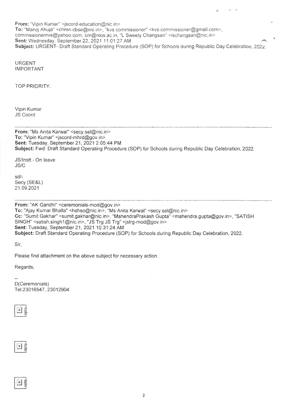From: "Vipin Kumar" <jscord-education@nic.in> To: "Manoj Ahuja" <chmn-cbse@nic.in>, "kvs commissioner" <kvs.commissioner@gmail.com>, commissionernvs@yahoo.com, cm@nios.ac.in, "L Sweety Changsan" <lschangsan@nic. in> Sent: Wednesday, September 22, 2021 11.O1 .27 AM Subject: URGENT- Draft Standard Operating Procedure (SOP) for Schools during Republic Day Celebration, 2022.

URGENT **IMPORTANT** 

TOP PRIORITY

Vipin Kumar JS Coord

From: "Ms Anita Karwal" <secy.sel@nic. in> To:'Vipin Kumar" <jscord-mhrd@gov.in> Sent: Tuesday, September 21, 2021 2:05:44 PM Subject: Fwd: Draft Standard Operating Procedure (SOP) for Schools during Republic Day Celebration, 2022.

JS/lnstt.- On leave JS/C

sd/- Secy.(SE&L) 21 .09.2021

From: "AK Gandhi" <ceremonials-mod@gov.in> To: "Ajay Kumar Bhalla" <hshso@nic.in>, "Ms Anita Karwal" <secy.sel@nic.in> Cc: "Sumit Gakhar" <sumit.gakhar@nic.in>, "MahendraPrakash Gupta" <mahendra.gupta@gov.in>, "SATISH SINGH" <satish.singh1@nic.in>, "JS Trg JS Trg" <jstrg-mod@gov.in> Sent: Tuesday, September 21, 2021 10:31:24 AM Subject: Draft Standard Operating Procedure (SOP) for Schools during Republic Day Celebration, 2022.

Sir,

Please find attachment on the above subject for necessary action.

Regards,

D(Ceremonials) Tel: 2301 6547, 2301 2904

 $x$